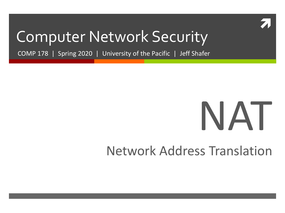

#### Computer Network Security

COMP 178 | Spring 2020 | University of the Pacific | Jeff Shafer

# NAT

#### Network Address Translation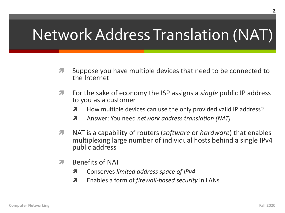#### Network Address Translation (NAT)

- Suppose you have multiple devices that need to be connected to  $\overline{\mathbf{z}}$ the Internet
- For the sake of economy the ISP assigns a *single* public IP address Л. to you as a customer
	- How multiple devices can use the only provided valid IP address? 7
	- Answer: You need network address translation (NAT)  $\overline{\mathbf{z}}$
- NAT is a capability of routers (software or hardware) that enables 7 multiplexing large number of individual hosts behind a single IPv4 public address
- **Benefits of NAT**  $\overline{\phantom{a}}$ 
	- 7 Conserves limited address space of IPv4
	- Enables a form of *firewall-based security* in LANs Л.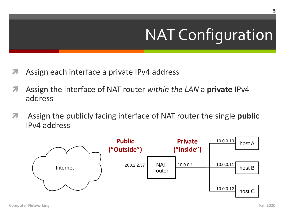## NAT Configuration

- *A* Assign each interface a private IPv4 address
- ì Assign the interface of NAT router *within the LAN* a **private** IPv4 address
- *A* Assign the publicly facing interface of NAT router the single **public** IPv4 address

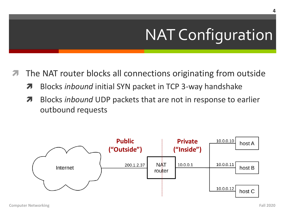## NAT Configuration

- The NAT router blocks all connections originating from outside
	- **7** Blocks *inbound* initial SYN packet in TCP 3-way handshake
	- **7** Blocks *inbound* UDP packets that are not in response to earlier outbound requests

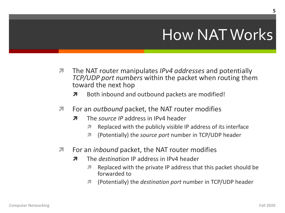#### **How NAT Works**

- The NAT router manipulates IPv4 addresses and potentially  $\overline{\phantom{a}}$ TCP/UDP port numbers within the packet when routing them toward the next hop
	- Both inbound and outbound packets are modified! Л
- For an *outbound* packet, the NAT router modifies 7
	- The source IP address in IPv4 header 7
		- Replaced with the publicly visible IP address of its interface 71
		- (Potentially) the *source port* number in TCP/UDP header Я.
- 7 For an *inbound* packet, the NAT router modifies
	- The *destingtion* IP address in IPv4 header Л
		- Replaced with the private IP address that this packet should be 7 forwarded to
		- (Potentially) the *destination port* number in TCP/UDP header 71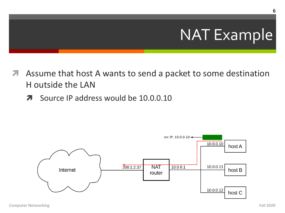- Assume that host A wants to send a packet to some destination H outside the LAN
	- Source IP address would be 10.0.0.10 7

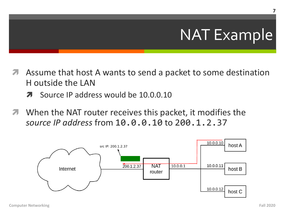- Assume that host A wants to send a packet to some destination H outside the LAN
	- Source IP address would be 10.0.0.10 71
- When the NAT router receives this packet, it modifies the source IP address from 10.0.0.10 to 200.1.2.37



7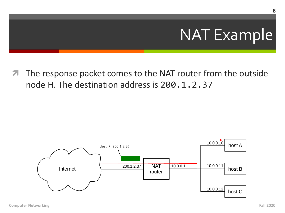**7** The response packet comes to the NAT router from the outside node H. The destination address is 200.1.2.37

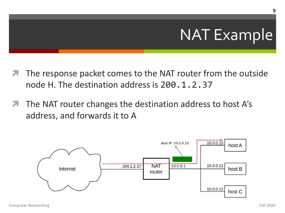- The response packet comes to the NAT router from the outside node H. The destination address is 200, 1, 2, 37
- The NAT router changes the destination address to host A's 7 address, and forwards it to A



9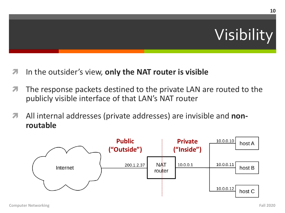

- $\lambda$  In the outsider's view, only the NAT router is visible
- **7** The response packets destined to the private LAN are routed to the publicly visible interface of that LAN's NAT router
- *A* All internal addresses (private addresses) are invisible and **nonroutable**

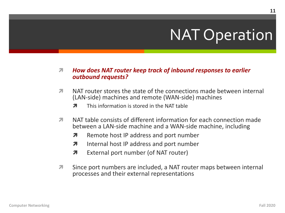#### **NAT Operation**

#### How does NAT router keep track of inbound responses to earlier 7 outbound requests?

- NAT router stores the state of the connections made between internal 7 (LAN-side) machines and remote (WAN-side) machines
	- This information is stored in the NAT table 7
- NAT table consists of different information for each connection made Я. between a LAN-side machine and a WAN-side machine, including
	- Remote host IP address and port number  $\overline{\boldsymbol{\pi}}$
	- Internal host IP address and port number 7
	- External port number (of NAT router) Л.
- 7 Since port numbers are included, a NAT router maps between internal processes and their external representations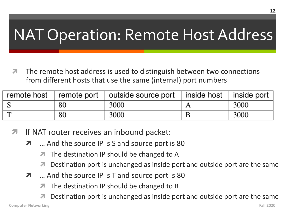#### **NAT Operation: Remote Host Address**

The remote host address is used to distinguish between two connections from different hosts that use the same (internal) port numbers

|                |    | remote host $\vert$ remote port $\vert$ outside source port $\vert$ inside host | l inside port |
|----------------|----|---------------------------------------------------------------------------------|---------------|
|                | 80 | 3000                                                                            | 3000          |
| $\mathbf \tau$ | 80 | 3000                                                                            | 3000          |

- If NAT router receives an inbound packet:
	- ... And the source IP is S and source port is 80 7
		- The destination IP should be changed to A 7
		- Destination port is unchanged as inside port and outside port are the same
	- ... And the source IP is T and source port is 80 7
		- The destination IP should be changed to B
		- Destination port is unchanged as inside port and outside port are the same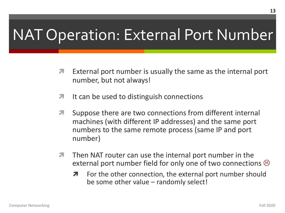#### NAT Operation: External Port Number

- $\lambda$  External port number is usually the same as the internal port number, but not always!
- **7** It can be used to distinguish connections
- **7** Suppose there are two connections from different internal machines (with different IP addresses) and the same port numbers to the same remote process (same IP and port number)
- $\pi$  Then NAT router can use the internal port number in the external port number field for only one of two connections  $\odot$ 
	- $\lambda$  For the other connection, the external port number should be some other value – randomly select!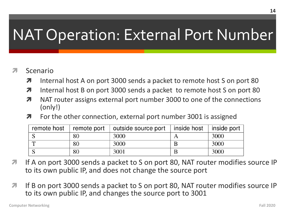#### **NAT Operation: External Port Number**

#### Scenario 21

- Internal host A on port 3000 sends a packet to remote host S on port 80 7
- Internal host B on port 3000 sends a packet to remote host S on port 80 7
- NAT router assigns external port number 3000 to one of the connections 7  $(only!)$
- For the other connection, external port number 3001 is assigned  $\overline{\boldsymbol{\pi}}$

| remote host |    | remote port   outside source port   inside host | inside port $ $ |
|-------------|----|-------------------------------------------------|-----------------|
|             | 80 | 3000                                            | 3000            |
|             | 80 | 3000                                            | 3000            |
|             | 80 | 3001                                            | 3000            |

- If A on port 3000 sends a packet to S on port 80, NAT router modifies source IP  $\mathbf{z}$ to its own public IP, and does not change the source port
- If B on port 3000 sends a packet to S on port 80, NAT router modifies source IP  $\overline{\phantom{a}}$ to its own public IP, and changes the source port to 3001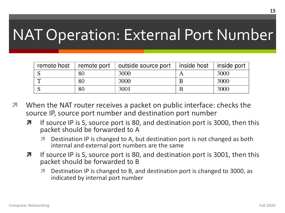#### NAT Operation: External Port Number

| remote host | remote port | outside source port | inside host | inside port |
|-------------|-------------|---------------------|-------------|-------------|
|             | 80          | 3000                |             | 3000        |
|             | 80          | 3000                |             | 3000        |
|             | $80\,$      | 3001                |             | 3000        |

- When the NAT router receives a packet on public interface: checks the source IP, source port number and destination port number
	- $\lambda$  If source IP is S, source port is 80, and destination port is 3000, then this packet should be forwarded to A
		- ì Destination IP is changed to A, but destination port is not changed as both internal and external port numbers are the same
	- $\lambda$  If source IP is S, source port is 80, and destination port is 3001, then this packet should be forwarded to B
		- *A* Destination IP is changed to B, and destination port is changed to 3000, as indicated by internal port number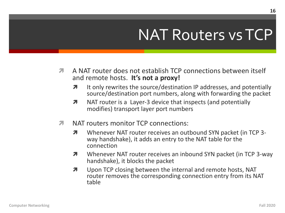#### **NAT Routers vs TCP**

- 71 A NAT router does not establish TCP connections between itself and remote hosts. It's not a proxy!
	- It only rewrites the source/destination IP addresses, and potentially 7 source/destination port numbers, along with forwarding the packet
	- 7 NAT router is a Layer-3 device that inspects (and potentially modifies) transport layer port numbers
- 7 NAT routers monitor TCP connections:
	- Whenever NAT router receives an outbound SYN packet (in TCP 3- $\overline{\mathbf{z}}$ way handshake), it adds an entry to the NAT table for the connection
	- Whenever NAT router receives an inbound SYN packet (in TCP 3-way 7 handshake), it blocks the packet
	- Upon TCP closing between the internal and remote hosts, NAT 7 router removes the corresponding connection entry from its NAT table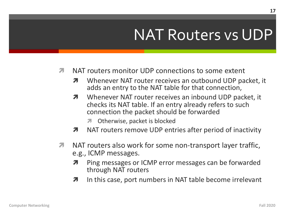#### NAT Routers vs UDP

- NAT routers monitor UDP connections to some extent  $\overline{\mathbf{z}}$ 
	- Whenever NAT router receives an outbound UDP packet, it 7 adds an entry to the NAT table for that connection,
	- Whenever NAT router receives an inbound UDP packet, it 7 checks its NAT table. If an entry already refers to such connection the packet should be forwarded
		- Otherwise, packet is blocked 7
	- NAT routers remove UDP entries after period of inactivity 7
- $\overline{\phantom{a}}$ NAT routers also work for some non-transport layer traffic, e.g., ICMP messages.
	- Ping messages or ICMP error messages can be forwarded 7 through NAT routers
	- In this case, port numbers in NAT table become irrelevant 7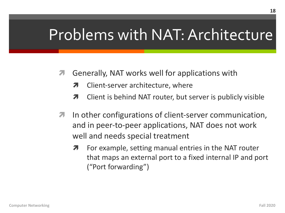#### Problems with NAT: Architecture

- **7** Generally, NAT works well for applications with
	- Client-server architecture, where
	- **7** Client is behind NAT router, but server is publicly visible
- $\lambda$  In other configurations of client-server communication, and in peer-to-peer applications, NAT does not work well and needs special treatment
	- For example, setting manual entries in the NAT router that maps an external port to a fixed internal IP and port ("Port forwarding")